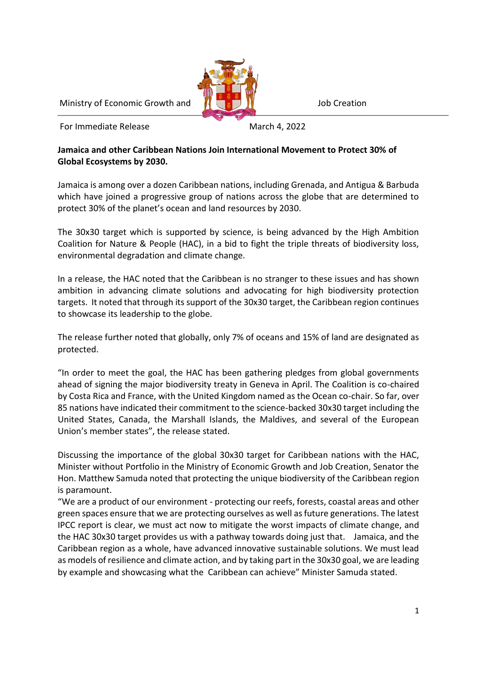Ministry of Economic Growth and **July 19th Albems** Job Creation

For Immediate Release March 4, 2022

## **Jamaica and other Caribbean Nations Join International Movement to Protect 30% of Global Ecosystems by 2030.**

Jamaica is among over a dozen Caribbean nations, including Grenada, and Antigua & Barbuda which have joined a progressive group of nations across the globe that are determined to protect 30% of the planet's ocean and land resources by 2030.

The 30x30 target which is supported by science, is being advanced by the High Ambition Coalition for Nature & People (HAC), in a bid to fight the triple threats of biodiversity loss, environmental degradation and climate change.

In a release, the HAC noted that the Caribbean is no stranger to these issues and has shown ambition in advancing climate solutions and advocating for high biodiversity protection targets. It noted that through its support of the 30x30 target, the Caribbean region continues to showcase its leadership to the globe.

The release further noted that globally, only 7% of oceans and 15% of land are designated as protected.

"In order to meet the goal, the HAC has been gathering pledges from global governments ahead of signing the major biodiversity treaty in Geneva in April. The Coalition is co-chaired by Costa Rica and France, with the United Kingdom named as the Ocean co-chair. So far, over 85 nations have indicated their commitment to the science-backed 30x30 target including the United States, Canada, the Marshall Islands, the Maldives, and several of the European Union's member states", the release stated.

Discussing the importance of the global 30x30 target for Caribbean nations with the HAC, Minister without Portfolio in the Ministry of Economic Growth and Job Creation, Senator the Hon. Matthew Samuda noted that protecting the unique biodiversity of the Caribbean region is paramount.

"We are a product of our environment - protecting our reefs, forests, coastal areas and other green spaces ensure that we are protecting ourselves as well as future generations. The latest IPCC report is clear, we must act now to mitigate the worst impacts of climate change, and the HAC 30x30 target provides us with a pathway towards doing just that. Jamaica, and the Caribbean region as a whole, have advanced innovative sustainable solutions. We must lead as models of resilience and climate action, and by taking part in the 30x30 goal, we are leading by example and showcasing what the Caribbean can achieve" Minister Samuda stated.